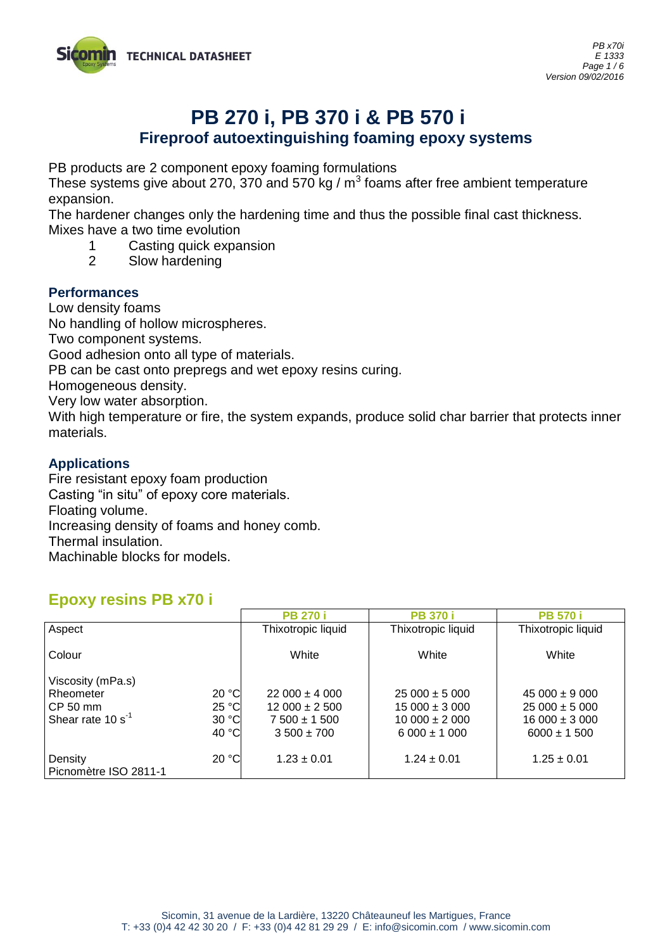

# **PB 270 i, PB 370 i & PB 570 i Fireproof autoextinguishing foaming epoxy systems**

PB products are 2 component epoxy foaming formulations

These systems give about 270, 370 and 570 kg /  $m<sup>3</sup>$  foams after free ambient temperature expansion.

The hardener changes only the hardening time and thus the possible final cast thickness. Mixes have a two time evolution

- 1 Casting quick expansion
- 2 Slow hardening

#### **Performances**

Low density foams No handling of hollow microspheres. Two component systems.

Good adhesion onto all type of materials.

PB can be cast onto prepregs and wet epoxy resins curing.

Homogeneous density.

Very low water absorption.

With high temperature or fire, the system expands, produce solid char barrier that protects inner materials.

#### **Applications**

Fire resistant epoxy foam production Casting "in situ" of epoxy core materials. Floating volume. Increasing density of foams and honey comb. Thermal insulation. Machinable blocks for models.

## **Epoxy resins PB x70 i**

| <b>PB 270 i</b>    | <b>PB 370 i</b>                                     | <b>PB 570 i</b>    |
|--------------------|-----------------------------------------------------|--------------------|
| Thixotropic liquid | Thixotropic liquid                                  | Thixotropic liquid |
| White              | White                                               | White              |
|                    |                                                     |                    |
| $22000 \pm 4000$   | $25000 \pm 5000$                                    | $45000 \pm 9000$   |
| $12000 \pm 2500$   | $15000 \pm 3000$                                    | $25000 \pm 5000$   |
| $7500 \pm 1500$    | $10000 \pm 2000$                                    | $16000 \pm 3000$   |
| $3500 \pm 700$     | $6000 \pm 1000$                                     | $6000 \pm 1500$    |
| $1.23 \pm 0.01$    | $1.24 \pm 0.01$                                     | $1.25 \pm 0.01$    |
|                    | 20 °C<br>25 °C<br>30 °C<br>40 $^{\circ}$ C<br>20 °C |                    |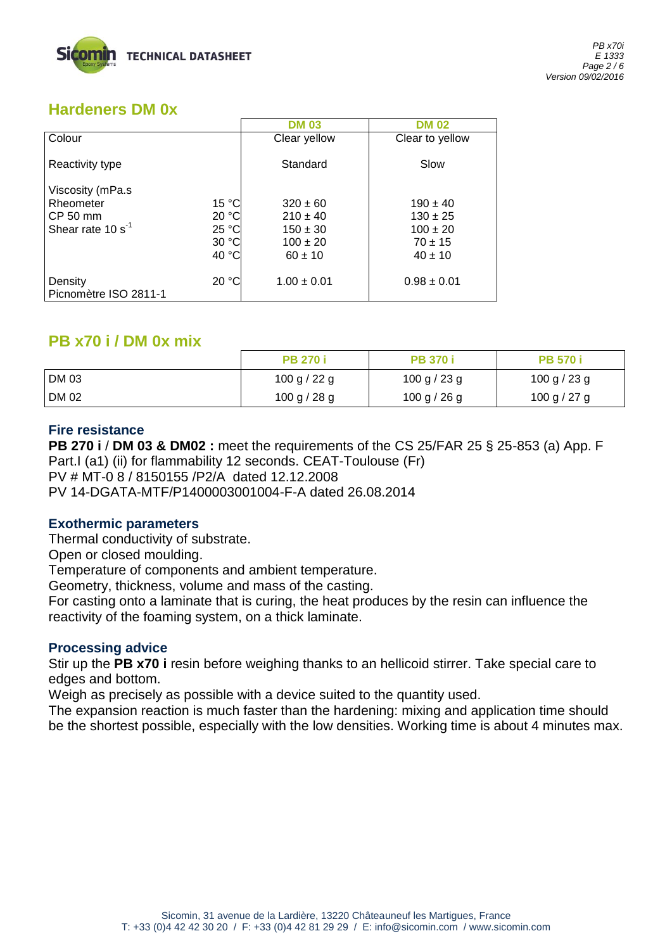

*PB x70i E 1333 Page 2 / 6 Version 09/02/2016*

# **Hardeners DM 0x**

|                                  |       | <b>DM 03</b>    | <b>DM 02</b>    |
|----------------------------------|-------|-----------------|-----------------|
| Colour                           |       | Clear yellow    | Clear to yellow |
| Reactivity type                  |       | Standard        | Slow            |
| Viscosity (mPa.s                 |       |                 |                 |
| Rheometer                        | 15 °C | $320 \pm 60$    | $190 \pm 40$    |
| CP 50 mm                         | 20 °C | $210 \pm 40$    | $130 \pm 25$    |
| Shear rate 10 s <sup>-1</sup>    | 25 °C | $150 \pm 30$    | $100 \pm 20$    |
|                                  | 30 °C | $100 \pm 20$    | $70 \pm 15$     |
|                                  | 40 °C | $60 \pm 10$     | $40 \pm 10$     |
| Density<br>Picnomètre ISO 2811-1 | 20 °C | $1.00 \pm 0.01$ | $0.98 \pm 0.01$ |

## **PB x70 i / DM 0x mix**

|              | <b>PB 270 i</b> | <b>PB 370 i</b> | <b>PB 570 i</b> |
|--------------|-----------------|-----------------|-----------------|
| DM 03        | 100 g / 22 g    | 100 g / 23 g    | 100 g $/$ 23 g  |
| <b>DM 02</b> | 100 g / 28 g    | 100 g / 26 g    | 100 g $/$ 27 g  |

#### **Fire resistance**

**PB 270 i** / **DM 03 & DM02 :** meet the requirements of the CS 25/FAR 25 § 25-853 (a) App. F Part.I (a1) (ii) for flammability 12 seconds. CEAT-Toulouse (Fr) PV # MT-0 8 / 8150155 /P2/A dated 12.12.2008 PV 14-DGATA-MTF/P1400003001004-F-A dated 26.08.2014

#### **Exothermic parameters**

Thermal conductivity of substrate.

Open or closed moulding.

Temperature of components and ambient temperature.

Geometry, thickness, volume and mass of the casting.

For casting onto a laminate that is curing, the heat produces by the resin can influence the reactivity of the foaming system, on a thick laminate.

#### **Processing advice**

Stir up the **PB x70 i** resin before weighing thanks to an hellicoid stirrer. Take special care to edges and bottom.

Weigh as precisely as possible with a device suited to the quantity used.

The expansion reaction is much faster than the hardening: mixing and application time should be the shortest possible, especially with the low densities. Working time is about 4 minutes max.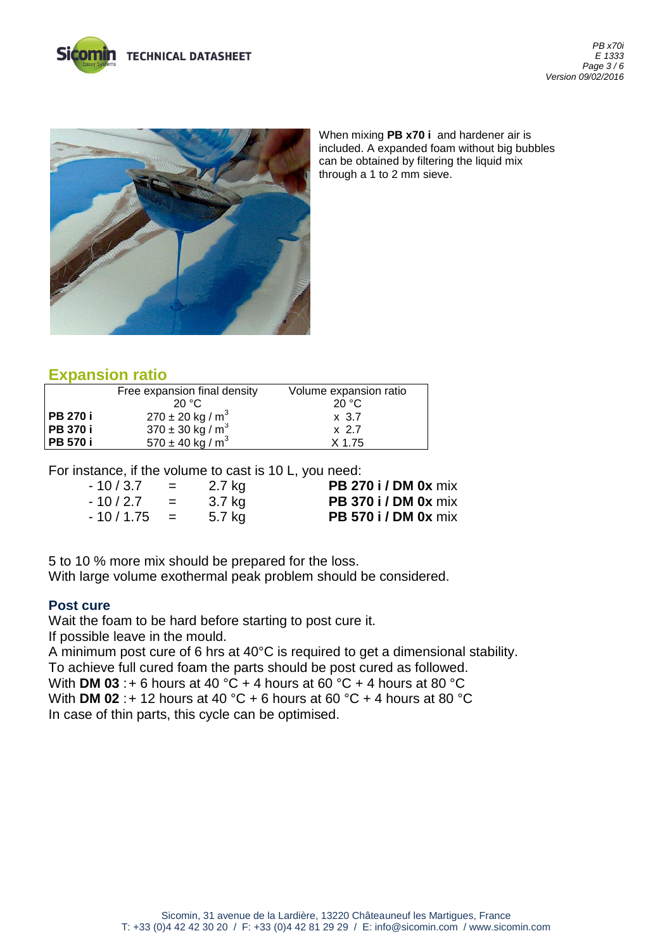



When mixing **PB x70 i** and hardener air is included. A expanded foam without big bubbles can be obtained by filtering the liquid mix through a 1 to 2 mm sieve.

## **Expansion ratio**

|                 | Free expansion final density     | Volume expansion ratio |
|-----------------|----------------------------------|------------------------|
|                 | 20 °C                            | 20 $\degree$ C         |
| <b>PB 270 i</b> | $270 \pm 20$ kg / m <sup>3</sup> | x 3.7                  |
| <b>PB 370 i</b> | $370 \pm 30$ kg / m <sup>3</sup> | $x$ 2.7                |
| <b>PB 570 i</b> | $570 \pm 40$ kg / m <sup>3</sup> | X 1.75                 |

For instance, if the volume to cast is 10 L, you need:

| $-10/3.7$  | $=$      | 2.7 kg | <b>PB 270 i / DM 0x mix</b> |
|------------|----------|--------|-----------------------------|
| $-10/2.7$  | $=$      | 3.7 kg | <b>PB 370 i / DM 0x mix</b> |
| $-10/1.75$ | $\equiv$ | 5.7 kg | <b>PB 570 i / DM 0x mix</b> |

5 to 10 % more mix should be prepared for the loss.

With large volume exothermal peak problem should be considered.

#### **Post cure**

Wait the foam to be hard before starting to post cure it.

If possible leave in the mould.

A minimum post cure of 6 hrs at 40°C is required to get a dimensional stability. To achieve full cured foam the parts should be post cured as followed. With **DM 03** :+ 6 hours at 40 °C + 4 hours at 60 °C + 4 hours at 80 °C With **DM 02** :+ 12 hours at 40 °C + 6 hours at 60 °C + 4 hours at 80 °C

In case of thin parts, this cycle can be optimised.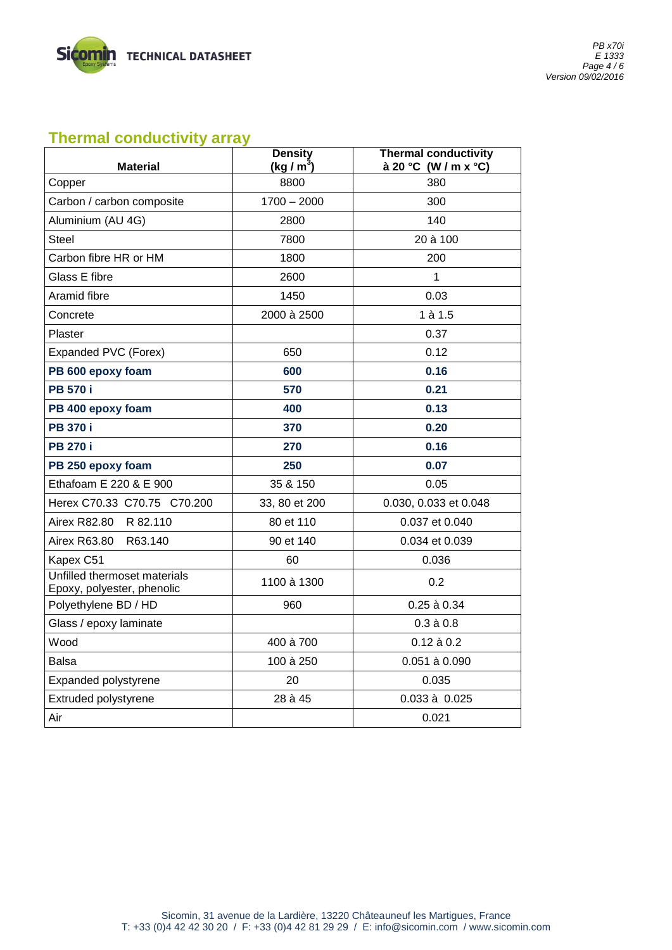**Sicomin** TECHNICAL DATASHEET

# **Thermal conductivity array**

| <b>Material</b>                                            | <b>Density</b><br>(kg / $m^3$ ) | <b>Thermal conductivity</b><br>à 20 °C (W / m x °C) |
|------------------------------------------------------------|---------------------------------|-----------------------------------------------------|
| Copper                                                     | 8800                            | 380                                                 |
| Carbon / carbon composite                                  | $1700 - 2000$                   | 300                                                 |
| Aluminium (AU 4G)                                          | 2800                            | 140                                                 |
| Steel                                                      | 7800                            | 20 à 100                                            |
| Carbon fibre HR or HM                                      | 1800                            | 200                                                 |
| Glass E fibre                                              | 2600                            | 1                                                   |
| Aramid fibre                                               | 1450                            | 0.03                                                |
| Concrete                                                   | 2000 à 2500                     | $1$ à $1.5$                                         |
| Plaster                                                    |                                 | 0.37                                                |
| Expanded PVC (Forex)                                       | 650                             | 0.12                                                |
| PB 600 epoxy foam                                          | 600                             | 0.16                                                |
| <b>PB 570 i</b>                                            | 570                             | 0.21                                                |
| PB 400 epoxy foam                                          | 400                             | 0.13                                                |
| <b>PB 370 i</b>                                            | 370                             | 0.20                                                |
| <b>PB 270 i</b>                                            | 270                             | 0.16                                                |
| PB 250 epoxy foam                                          | 250                             | 0.07                                                |
| Ethafoam E 220 & E 900                                     | 35 & 150                        | 0.05                                                |
| Herex C70.33 C70.75 C70.200                                | 33, 80 et 200                   | 0.030, 0.033 et 0.048                               |
| R 82.110<br>Airex R82.80                                   | 80 et 110                       | 0.037 et 0.040                                      |
| <b>Airex R63.80</b><br>R63.140                             | 90 et 140                       | 0.034 et 0.039                                      |
| Kapex C51                                                  | 60                              | 0.036                                               |
| Unfilled thermoset materials<br>Epoxy, polyester, phenolic | 1100 à 1300                     | 0.2                                                 |
| Polyethylene BD / HD                                       | 960                             | 0.25 à 0.34                                         |
| Glass / epoxy laminate                                     |                                 | $0.3$ à $0.8$                                       |
| Wood                                                       | 400 à 700                       | $0.12$ à $0.2$                                      |
| Balsa                                                      | 100 à 250                       | 0.051 à 0.090                                       |
| Expanded polystyrene                                       | 20                              | 0.035                                               |
| Extruded polystyrene                                       | 28 à 45                         | 0.033 à 0.025                                       |
| Air                                                        |                                 | 0.021                                               |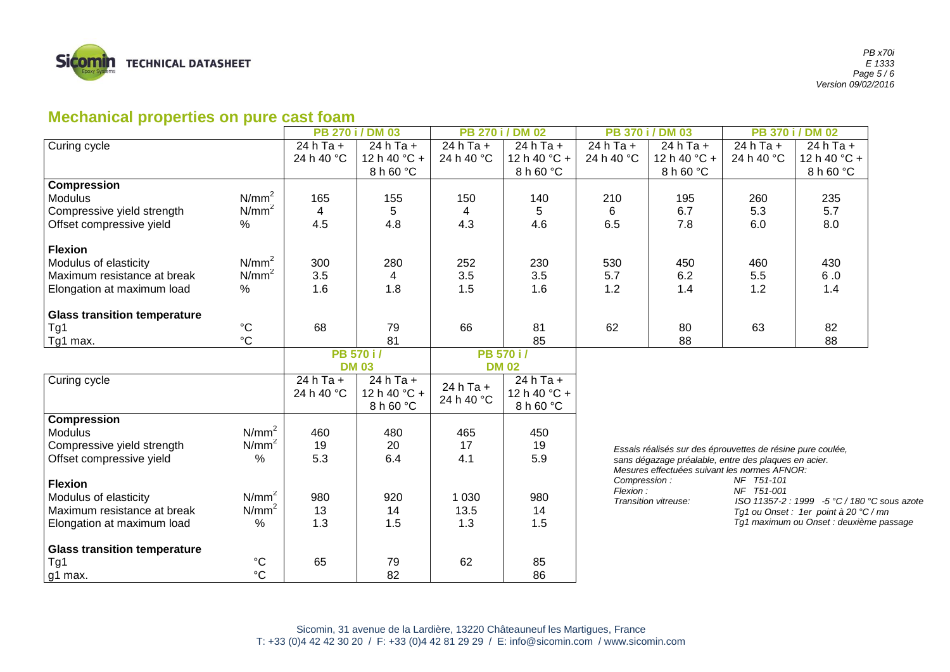

### **Mechanical properties on pure cast foam**

|                                     |                   |              | PB 270 i / DM 03 |              | PB 270 i / DM 02 |                                                                                                                                                                      | PB 370 i / DM 03                             |                          | PB 370 i / DM 02 |
|-------------------------------------|-------------------|--------------|------------------|--------------|------------------|----------------------------------------------------------------------------------------------------------------------------------------------------------------------|----------------------------------------------|--------------------------|------------------|
| Curing cycle                        |                   | 24 h Ta $+$  | 24 h Ta $+$      | 24 h Ta $+$  | 24 h Ta $+$      | 24 h Ta $+$                                                                                                                                                          | 24 h Ta $+$                                  | 24 h Ta +                | $24h$ Ta +       |
|                                     |                   | 24 h 40 °C   | 12 h 40 °C +     | 24 h 40 °C   | 12 h 40 °C +     | 24 h 40 °C                                                                                                                                                           | 12 h 40 °C +                                 | 24 h 40 °C               | 12 h 40 °C +     |
|                                     |                   |              | 8 h 60 °C        |              | 8 h 60 °C        |                                                                                                                                                                      | 8 h 60 °C                                    |                          | 8 h 60 °C        |
| <b>Compression</b>                  |                   |              |                  |              |                  |                                                                                                                                                                      |                                              |                          |                  |
| <b>Modulus</b>                      | $N/mm^2$          | 165          | 155              | 150          | 140              | 210                                                                                                                                                                  | 195                                          | 260                      | 235              |
| Compressive yield strength          | N/mm <sup>2</sup> | 4            | 5                | 4            | 5                | 6                                                                                                                                                                    | 6.7                                          | 5.3                      | 5.7              |
| Offset compressive yield            | $\%$              | 4.5          | 4.8              | 4.3          | 4.6              | 6.5                                                                                                                                                                  | 7.8                                          | 6.0                      | 8.0              |
| <b>Flexion</b>                      |                   |              |                  |              |                  |                                                                                                                                                                      |                                              |                          |                  |
| Modulus of elasticity               | N/mm <sup>2</sup> | 300          | 280              | 252          | 230              | 530                                                                                                                                                                  | 450                                          | 460                      | 430              |
| Maximum resistance at break         | $N/mm^2$          | 3.5          | 4                | 3.5          | 3.5              | 5.7                                                                                                                                                                  | 6.2                                          | 5.5                      | 6.0              |
| Elongation at maximum load          | $\%$              | 1.6          | 1.8              | 1.5          | 1.6              | 1.2                                                                                                                                                                  | 1.4                                          | 1.2                      | 1.4              |
| <b>Glass transition temperature</b> |                   |              |                  |              |                  |                                                                                                                                                                      |                                              |                          |                  |
| Tg1                                 | $^{\circ}{\rm C}$ | 68           | 79               | 66           | 81               | 62                                                                                                                                                                   | 80                                           | 63                       | 82               |
| Tg1 max.                            | $\rm ^{\circ}C$   |              | 81               |              | 85               |                                                                                                                                                                      | 88                                           |                          | 88               |
|                                     |                   |              | PB 570 i/        |              | PB 570 i/        |                                                                                                                                                                      |                                              |                          |                  |
|                                     |                   | <b>DM 03</b> |                  | <b>DM 02</b> |                  |                                                                                                                                                                      |                                              |                          |                  |
| Curing cycle                        |                   | 24 h Ta $+$  | 24 h Ta $+$      | 24 h Ta $+$  | $24h$ Ta +       |                                                                                                                                                                      |                                              |                          |                  |
|                                     |                   | 24 h 40 °C   | 12 h 40 °C +     | 24 h 40 °C   | 12 h 40 °C +     |                                                                                                                                                                      |                                              |                          |                  |
|                                     |                   |              | 8 h 60 °C        |              | 8 h 60 °C        |                                                                                                                                                                      |                                              |                          |                  |
| <b>Compression</b>                  |                   |              |                  |              |                  |                                                                                                                                                                      |                                              |                          |                  |
| <b>Modulus</b>                      | $N/mm^2$          | 460          | 480              | 465          | 450              |                                                                                                                                                                      |                                              |                          |                  |
| Compressive yield strength          | $N/mm^2$          | 19           | 20               | 17           | 19               |                                                                                                                                                                      |                                              |                          |                  |
| Offset compressive yield            | $\frac{0}{0}$     | 5.3          | 6.4              | 4.1          | 5.9              | Essais réalisés sur des éprouvettes de résine pure coulée,<br>sans dégazage préalable, entre des plaques en acier.                                                   |                                              |                          |                  |
|                                     |                   |              |                  |              |                  |                                                                                                                                                                      | Mesures effectuées suivant les normes AFNOR: |                          |                  |
| <b>Flexion</b>                      |                   |              |                  |              |                  | Compression:                                                                                                                                                         |                                              | NF T51-101<br>NF T51-001 |                  |
| Modulus of elasticity               | N/mm <sup>2</sup> | 980          | 920              | 1 0 3 0      | 980              | Flexion:<br>ISO 11357-2 : 1999 -5 °C / 180 °C sous azote<br>Transition vitreuse:<br>Tg1 ou Onset : 1er point à 20 $°C/mn$<br>Tg1 maximum ou Onset : deuxième passage |                                              |                          |                  |
| Maximum resistance at break         | N/mm <sup>2</sup> | 13           | 14               | 13.5         | 14               |                                                                                                                                                                      |                                              |                          |                  |
| Elongation at maximum load          | $\%$              | 1.3          | 1.5              | 1.3          | 1.5              |                                                                                                                                                                      |                                              |                          |                  |
| <b>Glass transition temperature</b> |                   |              |                  |              |                  |                                                                                                                                                                      |                                              |                          |                  |
| Tg1                                 | $^{\circ}C$       | 65           | 79               | 62           | 85               |                                                                                                                                                                      |                                              |                          |                  |
| g1 max.                             | $^{\circ}$ C      |              | 82               |              | 86               |                                                                                                                                                                      |                                              |                          |                  |